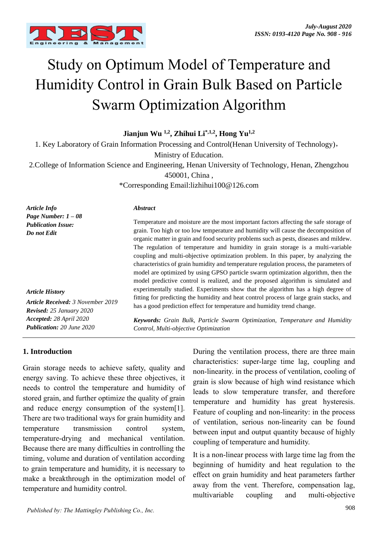

# Study on Optimum Model of Temperature and Humidity Control in Grain Bulk Based on Particle Swarm Optimization Algorithm

**Jianjun Wu 1,2 , Zhihui Li\*,1,2 , Hong Yu1,2**

1. Key Laboratory of Grain Information Processing and Control(Henan University of Technology),

Ministry of Education.

2.College of Information Science and Engineering, Henan University of Technology, Henan, Zhengzhou 450001, China ,

\*Corresponding Email:lizhihui100@126.com

| <b>Article Info</b>                                                         | <i><b>Abstract</b></i>                                                                                                                                                                                                                                                                                                                                    |
|-----------------------------------------------------------------------------|-----------------------------------------------------------------------------------------------------------------------------------------------------------------------------------------------------------------------------------------------------------------------------------------------------------------------------------------------------------|
| Page Number: $1-08$<br><b>Publication Issue:</b><br>Do not Edit             | Temperature and moisture are the most important factors affecting the safe storage of<br>grain. Too high or too low temperature and humidity will cause the decomposition of<br>organic matter in grain and food security problems such as pests, diseases and mildew.<br>The regulation of temperature and humidity in grain storage is a multi-variable |
|                                                                             | coupling and multi-objective optimization problem. In this paper, by analyzing the                                                                                                                                                                                                                                                                        |
|                                                                             | characteristics of grain humidity and temperature regulation process, the parameters of                                                                                                                                                                                                                                                                   |
|                                                                             | model are optimized by using GPSO particle swarm optimization algorithm, then the                                                                                                                                                                                                                                                                         |
|                                                                             | model predictive control is realized, and the proposed algorithm is simulated and                                                                                                                                                                                                                                                                         |
| <b>Article History</b>                                                      | experimentally studied. Experiments show that the algorithm has a high degree of<br>fitting for predicting the humidity and heat control process of large grain stacks, and<br>has a good prediction effect for temperature and humidity trend change.                                                                                                    |
| <b>Article Received: 3 November 2019</b><br><b>Revised:</b> 25 January 2020 |                                                                                                                                                                                                                                                                                                                                                           |

*Keywords: Grain Bulk, Particle Swarm Optimization, Temperature and Humidity Control, Multi-objective Optimization*

#### **1. Introduction**

*Accepted: 28 April 2020 Publication: 20 June 2020*

Grain storage needs to achieve safety, quality and energy saving. To achieve these three objectives, it needs to control the temperature and humidity of stored grain, and further optimize the quality of grain and reduce energy consumption of the system[1]. There are two traditional ways for grain humidity and temperature transmission control system, temperature-drying and mechanical ventilation. Because there are many difficulties in controlling the timing, volume and duration of ventilation according to grain temperature and humidity, it is necessary to make a breakthrough in the optimization model of temperature and humidity control.

During the ventilation process, there are three main characteristics: super-large time lag, coupling and non-linearity. in the process of ventilation, cooling of grain is slow because of high wind resistance which leads to slow temperature transfer, and therefore temperature and humidity has great hysteresis. Feature of coupling and non-linearity: in the process of ventilation, serious non-linearity can be found between input and output quantity because of highly coupling of temperature and humidity.

It is a non-linear process with large time lag from the beginning of humidity and heat regulation to the effect on grain humidity and heat parameters farther away from the vent. Therefore, compensation lag, multivariable coupling and multi-objective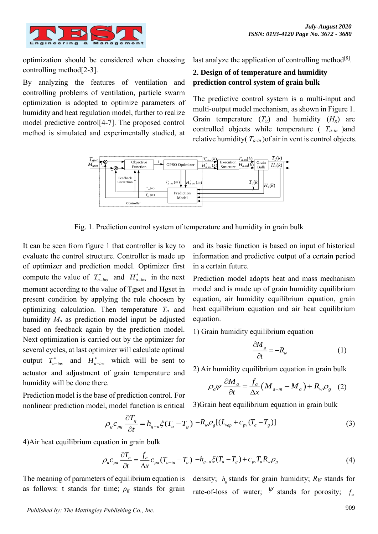

optimization should be considered when choosing controlling method[2-3].

By analyzing the features of ventilation and controlling problems of ventilation, particle swarm optimization is adopted to optimize parameters of humidity and heat regulation model, further to realize model predictive control[4-7]. The proposed control method is simulated and experimentally studied, at

last analyze the application of controlling method<sup>[8]</sup>.

# **2. Design of of temperature and humidity prediction control system of grain bulk**

The predictive control system is a multi-input and multi-output model mechanism, as shown in Figure 1. Grain temperature  $(T_g)$  and humidity  $(H_g)$  are controlled objects while temperature ( *Ta-in* )and relative humidity( *Ta-in* )of air in vent is control objects.



Fig. 1. Prediction control system of temperature and humidity in grain bulk

It can be seen from figure 1 that controller is key to evaluate the control structure. Controller is made up of optimizer and prediction model. Optimizer first compute the value of  $T_{a - ins}^*$  and  $H_{a - ins}^*$  in the next moment according to the value of Tgset and Hgset in present condition by applying the rule choosen by optimizing calculation. Then temperature *T<sup>a</sup>* and humidity *M<sup>a</sup>* as prediction model input be adjusted based on feedback again by the prediction model. Next optimization is carried out by the optimizer for several cycles, at last optimizer will calculate optimal output  $T_{a - ins}^*$  and  $H_{a - ins}^*$  which will be sent to actuator and adjustment of grain temperature and humidity will be done there.

Prediction model is the base of prediction control. For nonlinear prediction model, model function is critical

and its basic function is based on input of historical information and predictive output of a certain period in a certain future.

Prediction model adopts heat and mass mechanism model and is made up of grain humidity equilibrium equation, air humidity equilibrium equation, grain heat equilibrium equation and air heat equilibrium equation.

1) Grain humidity equilibrium equation

$$
\frac{\partial M_s}{\partial t} = -R_w \tag{1}
$$

2) Air humidity equilibrium equation in grain bulk  
\n
$$
\rho_a \psi \frac{\partial M_a}{\partial t} = \frac{f_a}{\Delta x} (M_{a-m} - M_a) + R_w \rho_g
$$
 (2)

3)Grain heat equilibrium equation in grain bulk

$$
\rho_g c_{pg} \frac{\partial T_g}{\partial t} = h_{g-a} \xi (T_a - T_g) - R_w \rho_g [(L_{vap} + c_{pv} (T_a - T_g)] \tag{3}
$$

4)Air heat equilibrium equation in grain bulk

$$
\rho_a c_{pa} \frac{\partial T_a}{\partial t} = \frac{f_a}{\Delta x} c_{pa} (T_{a-in} - T_a) - h_{g-a} \xi (T_a - T_g) + c_{pv} T_a R_w \rho_g \tag{4}
$$

The meaning of parameters of equilibrium equation is as follows: t stands for time; *ρ<sup>g</sup>* stands for grain density;  $h_{g}$  stands for grain humidity;  $R_{W}$  stands for rate-of-loss of water;  $\psi$  stands for porosity; *a f*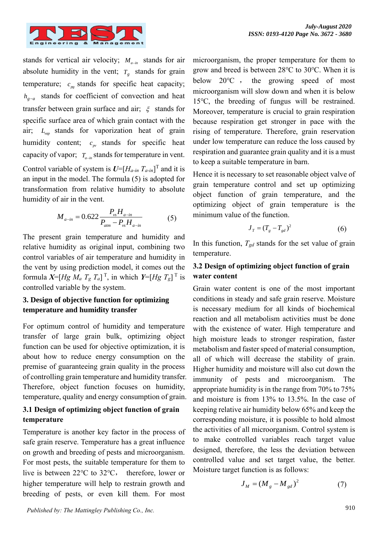

stands for vertical air velocity;  $M_{a-in}$  stands for air absolute humidity in the vent;  $T_g$  stands for grain temperature;  $c_{ps}$  stands for specific heat capacity; *<sup>h</sup><sup>g</sup>*−*<sup>a</sup>* stands for coefficient of convection and heat transfer between grain surface and air;  $\xi$  stands for specific surface area of which grain contact with the air; *L vap* stands for vaporization heat of grain humidity content;  $c_{pv}$  stands for specific heat capacity of vapor;  $T_{a-in}$  stands for temperature in vent. Control variable of system is  $U=[H_{a-in} T_{a-in}]^T$  and it is an input in the model. The formula (5) is adopted for transformation from relative humidity to absolute humidity of air in the vent.

$$
M_{a-in} = 0.622 \frac{P_{vs} H_{a-in}}{P_{am} - P_{vs} H_{a-in}}
$$
 (5)

The present grain temperature and humidity and relative humidity as original input, combining two control variables of air temperature and humidity in the vent by using prediction model, it comes out the formula  $X=[Hg \ M_a \ T_g \ T_a]^T$ , in which  $Y=[Hg \ T_g]^T$  is controlled variable by the system.

# **3. Design of objective function for optimizing temperature and humidity transfer**

For optimum control of humidity and temperature transfer of large grain bulk, optimizing object function can be used for objective optimization, it is about how to reduce energy consumption on the premise of guaranteeing grain quality in the process of controlling grain temperature and humidity transfer. Therefore, object function focuses on humidity, temperature, quality and energy consumption of grain.

## **3.1 Design of optimizing object function of grain temperature**

Temperature is another key factor in the process of safe grain reserve. Temperature has a great influence on growth and breeding of pests and microorganism. For most pests, the suitable temperature for them to live is between 22℃ to 32℃, therefore, lower or higher temperature will help to restrain growth and breeding of pests, or even kill them. For most microorganism, the proper temperature for them to grow and breed is between 28℃ to 30℃. When it is below 20℃ , the growing speed of most microorganism will slow down and when it is below 15℃, the breeding of fungus will be restrained. Moreover, temperature is crucial to grain respiration because respiration get stronger in pace with the rising of temperature. Therefore, grain reservation under low temperature can reduce the loss caused by respiration and guarantee grain quality and it is a must to keep a suitable temperature in barn.

Hence it is necessary to set reasonable object valve of grain temperature control and set up optimizing object function of grain temperature, and the optimizing object of grain temperature is the minimum value of the function.

$$
J_T = (T_g - T_{gd})^2 \tag{6}
$$

In this function,  $T_{gd}$  stands for the set value of grain temperature.

## **3.2 Design of optimizing object function of grain water content**

Grain water content is one of the most important conditions in steady and safe grain reserve. Moisture is necessary medium for all kinds of biochemical reaction and all metabolism activities must be done with the existence of water. High temperature and high moisture leads to stronger respiration, faster metabolism and faster speed of material consumption, all of which will decrease the stability of grain. Higher humidity and moisture will also cut down the immunity of pests and microorganism. The appropriate humidity is in the range from 70% to 75% and moisture is from 13% to 13.5%. In the case of keeping relative air humidity below 65% and keep the corresponding moisture, it is possible to hold almost the activities of all microorganism. Control system is to make controlled variables reach target value designed, therefore, the less the deviation between controlled value and set target value, the better. Moisture target function is as follows:

$$
J_M = (M_g - M_{gd})^2 \tag{7}
$$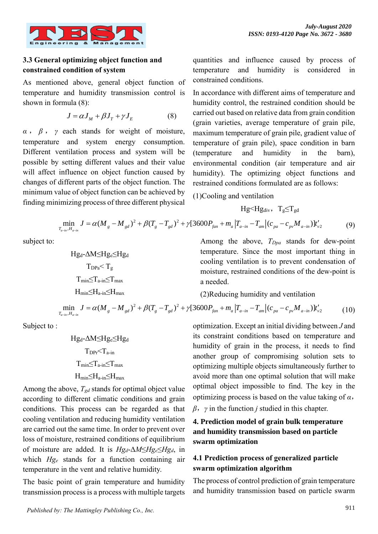

## **3.3 General optimizing object function and constrained condition of system**

As mentioned above, general object function of temperature and humidity transmission control is shown in formula (8):

$$
J = \alpha J_M + \beta J_T + \gamma J_E \tag{8}
$$

*α* , *β* , *γ* each stands for weight of moisture, temperature and system energy consumption. Different ventilation process and system will be possible by setting different values and their value will affect influence on object function caused by changes of different parts of the object function. The minimum value of object function can be achieved by finding minimizing process of three different physical quantities and influence caused by process of temperature and humidity is considered in constrained conditions.

In accordance with different aims of temperature and humidity control, the restrained condition should be carried out based on relative data from grain condition (grain varieties, average temperature of grain pile, maximum temperature of grain pile, gradient value of temperature of grain pile), space condition in barn (temperature and humidity in the barn), environmental condition (air temperature and air humidity). The optimizing object functions and restrained conditions formulated are as follows:

(1)Cooling and ventilation

$$
Hg\!\!<\!\!Hg_{div},\ T_g\!\!\leq\!\!T_{gd}
$$

$$
\min_{T_{a-in}, H_{a-in}} J = \alpha (M_g - M_{gd})^2 + \beta (T_g - T_{gd})^2 + \gamma [3600 P_{fan} + m_a |T_{a-in} - T_{am}| (c_{pa} - c_{pv} M_{a-in})]t'_{v2}
$$
(9)

subject to:

$$
\begin{aligned} Hg_d\text{-}\Delta M {\leq} Hg_e{\leq} Hg_d\\ T_{DPa} {\leq} T_g\\ T_{min} {\leq} T_{a\text{-}in} {\leq} T_{max}\\ H_{min} {\leq} H_{a\text{-}in} {\leq} H_{max} \end{aligned}
$$

Among the above, *TDpa* stands for dew-point temperature. Since the most important thing in cooling ventilation is to prevent condensation of moisture, restrained conditions of the dew-point is a needed.

(2)Reducing humidity and ventilation

$$
\min_{T_{a-in}, H_{a-in}} J = \alpha (M_g - M_{gd})^2 + \beta (T_g - T_{gd})^2 + \gamma [3600 P_{fan} + m_a |T_{a-in} - T_{am}| (c_{pa} - c_{pv} M_{a-in})]t'_{v2}
$$
(10)

Subject to :

$$
\begin{aligned} Hg_d\text{-}\Delta M {\le} Hg_e{\le} Hg_d\\ \text{T}_{DPr}{<}T_{a\text{-in}}\\ T_{min} {\le}T_{a\text{-in}}{\le}T_{max}\\ H_{min}{\le}H_{a\text{-in}}{\le}H_{max} \end{aligned}
$$

Among the above, *Tgd* stands for optimal object value according to different climatic conditions and grain conditions. This process can be regarded as that cooling ventilation and reducing humidity ventilation are carried out the same time. In order to prevent over loss of moisture, restrained conditions of equilibrium of moisture are added. It is *Hgd*-Δ*M*≤*Hge*≤*Hgd*, in which *Hg<sup>e</sup>* stands for a function containing air temperature in the vent and relative humidity.

The basic point of grain temperature and humidity transmission process is a process with multiple targets

optimization. Except an initial dividing between *J* and its constraint conditions based on temperature and humidity of grain in the process, it needs to find another group of compromising solution sets to optimizing multiple objects simultaneously further to avoid more than one optimal solution that will make optimal object impossible to find. The key in the optimizing process is based on the value taking of *α*, *β*,*γ* in the function *j* studied in this chapter.

# **4. Prediction model of grain bulk temperature and humidity transmission based on particle swarm optimization**

# **4.1 Prediction process of generalized particle swarm optimization algorithm**

The process of control prediction of grain temperature and humidity transmission based on particle swarm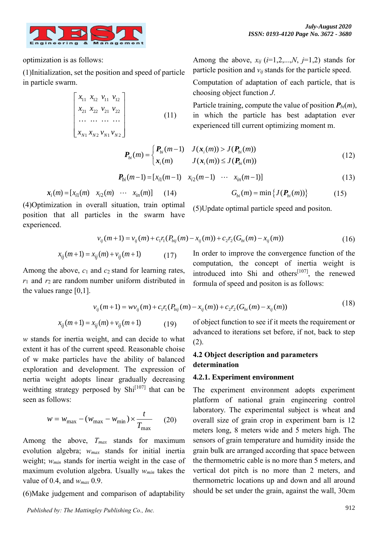

optimization is as follows:

(1)Initialization, set the position and speed of particle in particle swarm.

$$
\begin{bmatrix} x_{11} & x_{12} & v_{11} & v_{12} \\ x_{21} & x_{22} & v_{21} & v_{22} \\ \cdots & \cdots & \cdots & \cdots \\ x_{N1} & x_{N2} & v_{N1} & v_{N2} \end{bmatrix}
$$
 (11)

Among the above,  $x_{ii}$  ( $i=1,2,...,N$ ,  $j=1,2$ ) stands for particle position and  $v_{ij}$  stands for the particle speed.

Computation of adaptation of each particle, that is choosing object function *J*.

Particle training, compute the value of position *Pbi*(*m*), in which the particle has best adaptation ever experienced till current optimizing moment m.

$$
\boldsymbol{P}_{bi}(m) = \begin{cases} \boldsymbol{P}_{bi}(m-1) & J(\boldsymbol{x}_i(m)) > J(\boldsymbol{P}_{bi}(m)) \\ \boldsymbol{x}_i(m) & J(\boldsymbol{x}_i(m)) \le J(\boldsymbol{P}_{bi}(m)) \end{cases}
$$
(12)

$$
P_{bi}(m-1) = [x_{i1}(m-1) \quad x_{i2}(m-1) \quad \cdots \quad x_{in}(m-1)] \tag{13}
$$

$$
x_i(m) = [x_{i1}(m) \quad x_{i2}(m) \quad \cdots \quad x_{in}(m)] \tag{14}
$$

(4)Optimization in overall situation, train optimal position that all particles in the swarm have experienced.

$$
G_{bi}(m) = \min\left\{J(\boldsymbol{P}_{bi}(m))\right\} \tag{15}
$$

(5)Update optimal particle speed and positon.

formula of speed and positon is as follows:

$$
v_{ij}(m+1) = v_{ij}(m) + c_1 r_1 (P_{bij}(m) - x_{ij}(m)) + c_2 r_2 (G_{bi}(m) - x_{ij}(m))
$$
\n(16)

$$
x_{ij}(m+1) = x_{ij}(m) + v_{ij}(m+1)
$$
 (17)

Among the above, *c*<sup>1</sup> and *c*<sup>2</sup> stand for learning rates,  $r_1$  and  $r_2$  are random number uniform distributed in the values range [0,1].

> (18) (19)  $v_{ii}(m+1) = w v_{ii}(m) + c_1 r_1 (P_{bii}(m) - x_{ii}(m)) + c_2 r_2 (G_{bii}(m) - x_{ii}(m))$  $x_{ii}(m+1) = x_{ii}(m) + v_{ii}(m+1)$

*w* stands for inertia weight, and can decide to what extent it has of the current speed. Reasonable choise of w make particles have the ability of balanced exploration and development. The expression of nertia weight adopts linear gradually decreasing weithting strategy perposed by  $\text{Shi}^{[107]}$  that can be seen as follows:

$$
w = w_{\text{max}} - (w_{\text{max}} - w_{\text{min}}) \times \frac{t}{T_{\text{max}}} \qquad (20)
$$

Among the above, *Tmax* stands for maximum evolution algebra; *wmax* stands for initial inertia weight; *wmin* stands for inertia weight in the case of maximum evolution algebra. Usually *wmin* takes the value of 0.4, and *wmax* 0.9.

(6)Make judgement and comparison of adaptability

of object function to see if it meets the requirement or advanced to iterations set before, if not, back to step (2).

In order to improve the convergence function of the computation, the concept of inertia weight is introduced into Shi and others<sup>[107]</sup>, the renewed

## **4.2 Object description and parameters determination**

#### **4.2.1. Experiment environment**

The experiment environment adopts experiment platform of national grain engineering control laboratory. The experimental subject is wheat and overall size of grain crop in experiment barn is 12 meters long, 8 meters wide and 5 meters high. The sensors of grain temperature and humidity inside the grain bulk are arranged according that space between the thermometric cable is no more than 5 meters, and vertical dot pitch is no more than 2 meters, and thermometric locations up and down and all around should be set under the grain, against the wall, 30cm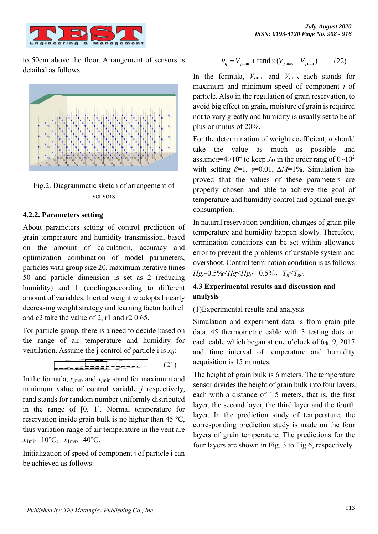

to 50cm above the floor. Arrangement of sensors is detailed as follows:



Fig.2. Diagrammatic sketch of arrangement of sensors

## **4.2.2. Parameters setting**

About parameters setting of control prediction of grain temperature and humidity transmission, based on the amount of calculation, accuracy and optimization combination of model parameters, particles with group size 20, maximum iterative times 50 and particle dimension is set as 2 (reducing humidity) and 1 (cooling)according to different amount of variables. Inertial weight w adopts linearly decreasing weight strategy and learning factor both c1 and c2 take the value of 2, r1 and r2 0.65.

For particle group, there is a need to decide based on the range of air temperature and humidity for ventilation. Assume the j control of particle i is *xij*:



In the formula, *xj*max and *xj*min stand for maximum and minimum value of control variable *j* respectively, rand stands for random number uniformly distributed in the range of [0, 1]. Normal temperature for reservation inside grain bulk is no higher than 45 ℃, thus variation range of air temperature in the vent are *x*1min=10℃,*x*1max=40℃.

Initialization of speed of component j of particle i can be achieved as follows:

$$
v_{ij} = V_{j\min} + \text{rand} \times (V_{j\max} - V_{j\min}) \tag{22}
$$

In the formula,  $V_{jmin}$  and  $V_{jmax}$  each stands for maximum and minimum speed of component *j* of particle. Also in the regulation of grain reservation, to avoid big effect on grain, moisture of grain is required not to vary greatly and humidity is usually set to be of plus or minus of 20%.

For the determination of weight coefficient, *α* should take the value as much as possible and assume $\alpha$ =4×10<sup>4</sup> to keep *J<sub>M</sub>* in the order rang of 0~10<sup>2</sup> with setting  $\beta=1$ ,  $\gamma=0.01$ ,  $\Delta M=1\%$ . Simulation has proved that the values of these parameters are properly chosen and able to achieve the goal of temperature and humidity control and optimal energy consumption.

In natural reservation condition, changes of grain pile temperature and humidity happen slowly. Therefore, termination conditions can be set within allowance error to prevent the problems of unstable system and overshoot. Control termination condition is as follows: *Hgd*-0.5%≤*Hg*≤*Hg<sup>d</sup>* +0.5%,*Tg*≤*Tgd*.

# **4.3 Experimental results and discussion and analysis**

## (1)Experimental results and analysis

Simulation and experiment data is from grain pile data, 45 thermometric cable with 3 testing dots on each cable which began at one o'clock of  $6<sub>th</sub>$ , 9, 2017 and time interval of temperature and humidity acquisition is 15 minutes.

The height of grain bulk is 6 meters. The temperature sensor divides the height of grain bulk into four layers, each with a distance of 1.5 meters, that is, the first layer, the second layer, the third layer and the fourth layer. In the prediction study of temperature, the corresponding prediction study is made on the four layers of grain temperature. The predictions for the four layers are shown in Fig. 3 to Fig.6, respectively.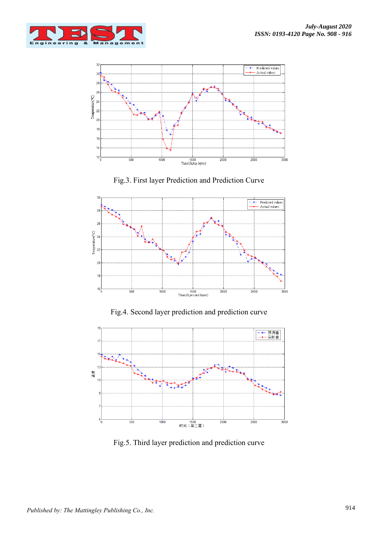



Fig.3. First layer Prediction and Prediction Curve

![](_page_6_Figure_4.jpeg)

Fig.4. Second layer prediction and prediction curve

![](_page_6_Figure_6.jpeg)

Fig.5. Third layer prediction and prediction curve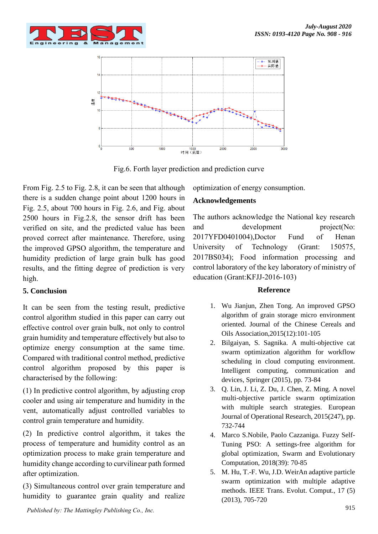![](_page_7_Picture_1.jpeg)

![](_page_7_Figure_2.jpeg)

Fig.6. Forth layer prediction and prediction curve

From Fig. 2.5 to Fig. 2.8, it can be seen that although there is a sudden change point about 1200 hours in Fig. 2.5, about 700 hours in Fig. 2.6, and Fig. about 2500 hours in Fig.2.8, the sensor drift has been verified on site, and the predicted value has been proved correct after maintenance. Therefore, using the improved GPSO algorithm, the temperature and humidity prediction of large grain bulk has good results, and the fitting degree of prediction is very high.

## **5. Conclusion**

It can be seen from the testing result, predictive control algorithm studied in this paper can carry out effective control over grain bulk, not only to control grain humidity and temperature effectively but also to optimize energy consumption at the same time. Compared with traditional control method, predictive control algorithm proposed by this paper is characterised by the following:

(1) In predictive control algorithm, by adjusting crop cooler and using air temperature and humidity in the vent, automatically adjust controlled variables to control grain temperature and humidity.

(2) In predictive control algorithm, it takes the process of temperature and humidity control as an optimization process to make grain temperature and humidity change according to curvilinear path formed after optimization.

(3) Simultaneous control over grain temperature and humidity to guarantee grain quality and realize

optimization of energy consumption.

#### **Acknowledgements**

The authors acknowledge the National key research and development project(No: 2017YFD0401004),Doctor Fund of Henan University of Technology (Grant: 150575, 2017BS034); Food information processing and control laboratory of the key laboratory of ministry of education (Grant:KFJJ-2016-103)

#### **Reference**

- 1. Wu Jianjun, Zhen Tong. An improved GPSO algorithm of grain storage micro environment oriented. Journal of the Chinese Cereals and Oils Association,2015(12):101-105
- 2. Bilgaiyan, S. Sagnika. A multi-objective cat swarm optimization algorithm for workflow scheduling in cloud computing environment. Intelligent computing, communication and devices, Springer (2015), pp. 73-84
- 3. Q. Lin, J. Li, Z. Du, J. Chen, Z. Ming. A novel multi-objective particle swarm optimization with multiple search strategies. European Journal of Operational Research, 2015(247), pp. 732-744
- 4. Marco S.Nobile, Paolo Cazzaniga. Fuzzy Self-Tuning PSO: A settings-free algorithm for global optimization, Swarm and Evolutionary Computation, 2018(39): 70-85
- 5. M. Hu, T.-F. Wu, J.D. WeirAn adaptive particle swarm optimization with multiple adaptive methods. IEEE Trans. Evolut. Comput., 17 (5) (2013), 705-720